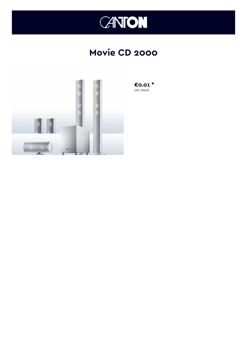

## **Movie CD 2000**



€0.01 $*$ inkl. MwSt.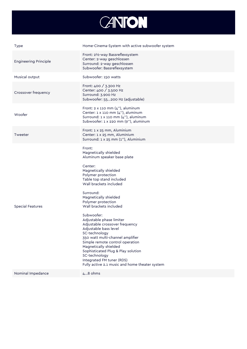

| Type                         | Home-Cinema-System with active subwoofer system                                                                                                                                                                                                                                                                                                                                                                                                                                                                                                                                                                                  |
|------------------------------|----------------------------------------------------------------------------------------------------------------------------------------------------------------------------------------------------------------------------------------------------------------------------------------------------------------------------------------------------------------------------------------------------------------------------------------------------------------------------------------------------------------------------------------------------------------------------------------------------------------------------------|
| <b>Engineering Principle</b> | Front: 21/2-way Bassreflexsystem<br>Center: 2-way geschlossen<br>Surround: 2-way geschlossen<br>Subwoofer: Bassreflexsystem                                                                                                                                                                                                                                                                                                                                                                                                                                                                                                      |
| Musical output               | Subwoofer: 150 watts                                                                                                                                                                                                                                                                                                                                                                                                                                                                                                                                                                                                             |
| Crossover frequency          | Front: 400 / 3.300 Hz<br>Center: 400 / 3.500 Hz<br>Surround: 3.900 Hz<br>Subwoofer: 55200 Hz (adjustable)                                                                                                                                                                                                                                                                                                                                                                                                                                                                                                                        |
| Woofer                       | Front: $2 \times 110$ mm $(4'')$ , aluminum<br>Center: 1 x 110 mm (4"), aluminum<br>Surround: 1 x 110 mm (4"), aluminum<br>Subwoofer: 1 x 220 mm (9"), aluminum                                                                                                                                                                                                                                                                                                                                                                                                                                                                  |
| Tweeter                      | Front: 1 x 25 mm, Aluminium<br>Center: 1 x 25 mm, Aluminium<br>Surround: 1 x 25 mm (1"), Aluminium                                                                                                                                                                                                                                                                                                                                                                                                                                                                                                                               |
| Special Features             | Front:<br>Magnetically shielded<br>Aluminum speaker base plate<br>Center:<br>Magnetically shielded<br>Polymer protection<br>Table top stand included<br>Wall brackets included<br>Surround:<br>Magnetically shielded<br>Polymer protection<br>Wall brackets included<br>Subwoofer:<br>Adjustable phase limiter<br>Adjustable crossover frequency<br>Adjustable bass level<br>SC-technology<br>350 watt multi-channel amplifier<br>Simple remote control operation<br>Magnetically shielded<br>Sophisticated Plug & Play solution<br>SC-technology<br>Integrated FM tuner (RDS)<br>Fully active 2.1 music and home theater system |
| Nominal Impedance            | 48 ohms                                                                                                                                                                                                                                                                                                                                                                                                                                                                                                                                                                                                                          |